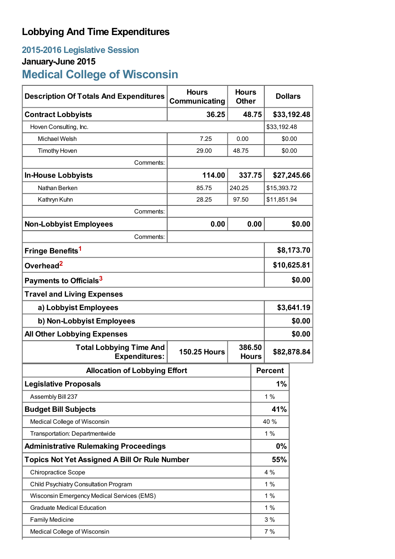# **Lobbying And Time Expenditures**

## **2015-2016 Legislative Session January-June 2015 Medical College of Wisconsin**

| <b>Description Of Totals And Expenditures</b>          | <b>Hours</b><br>Communicating | <b>Hours</b><br><b>Other</b> |      | <b>Dollars</b> |  |
|--------------------------------------------------------|-------------------------------|------------------------------|------|----------------|--|
| <b>Contract Lobbyists</b>                              | 36.25                         | 48.75                        |      | \$33,192.48    |  |
| Hoven Consulting, Inc.                                 |                               |                              |      | \$33,192.48    |  |
| Michael Welsh                                          | 7.25                          | 0.00                         |      | \$0.00         |  |
| <b>Timothy Hoven</b>                                   | 29.00                         | 48.75                        |      | \$0.00         |  |
| Comments:                                              |                               |                              |      |                |  |
| <b>In-House Lobbyists</b>                              | 114.00                        | 337.75                       |      | \$27,245.66    |  |
| Nathan Berken                                          | 85.75                         | 240.25                       |      | \$15,393.72    |  |
| Kathryn Kuhn                                           | 28.25                         | 97.50                        |      | \$11,851.94    |  |
| Comments:                                              |                               |                              |      |                |  |
| <b>Non-Lobbyist Employees</b>                          | 0.00                          | 0.00                         |      | \$0.00         |  |
| Comments:                                              |                               |                              |      |                |  |
| Fringe Benefits <sup>1</sup>                           |                               |                              |      | \$8,173.70     |  |
| Overhead <sup>2</sup>                                  |                               |                              |      | \$10,625.81    |  |
| Payments to Officials <sup>3</sup>                     |                               |                              |      | \$0.00         |  |
| <b>Travel and Living Expenses</b>                      |                               |                              |      |                |  |
| a) Lobbyist Employees                                  |                               |                              |      | \$3,641.19     |  |
| b) Non-Lobbyist Employees                              |                               |                              |      | \$0.00         |  |
| <b>All Other Lobbying Expenses</b>                     |                               |                              |      | \$0.00         |  |
| <b>Total Lobbying Time And</b><br><b>Expenditures:</b> | <b>150.25 Hours</b>           | 386.50<br><b>Hours</b>       |      | \$82,878.84    |  |
| <b>Allocation of Lobbying Effort</b>                   |                               |                              |      | <b>Percent</b> |  |
| <b>Legislative Proposals</b>                           |                               |                              |      | 1%             |  |
| Assembly Bill 237                                      |                               |                              |      | 1%             |  |
| <b>Budget Bill Subjects</b>                            |                               |                              |      | 41%            |  |
| Medical College of Wisconsin                           |                               |                              | 40 % |                |  |
| Transportation: Departmentwide                         |                               |                              | 1%   |                |  |
| <b>Administrative Rulemaking Proceedings</b>           |                               |                              |      | 0%             |  |
| <b>Topics Not Yet Assigned A Bill Or Rule Number</b>   |                               |                              |      | 55%            |  |
| <b>Chiropractice Scope</b>                             |                               |                              | 4 %  |                |  |
| Child Psychiatry Consultation Program                  |                               |                              |      | 1%             |  |
| Wisconsin Emergency Medical Services (EMS)             |                               |                              |      | 1%             |  |
| <b>Graduate Medical Education</b>                      |                               |                              |      | 1%             |  |
| <b>Family Medicine</b>                                 |                               |                              |      | 3%             |  |
| Medical College of Wisconsin                           |                               |                              |      | 7%             |  |